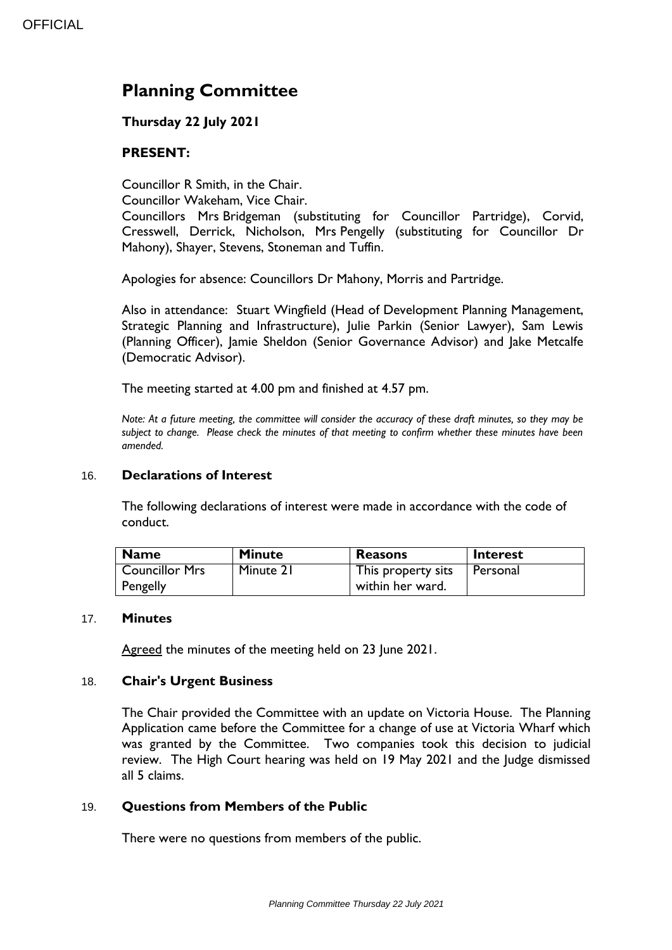# **Planning Committee**

# **Thursday 22 July 2021**

# **PRESENT:**

Councillor R Smith, in the Chair.

Councillor Wakeham, Vice Chair.

Councillors Mrs Bridgeman (substituting for Councillor Partridge), Corvid, Cresswell, Derrick, Nicholson, Mrs Pengelly (substituting for Councillor Dr Mahony), Shayer, Stevens, Stoneman and Tuffin.

Apologies for absence: Councillors Dr Mahony, Morris and Partridge.

Also in attendance: Stuart Wingfield (Head of Development Planning Management, Strategic Planning and Infrastructure), Julie Parkin (Senior Lawyer), Sam Lewis (Planning Officer), Jamie Sheldon (Senior Governance Advisor) and Jake Metcalfe (Democratic Advisor).

The meeting started at 4.00 pm and finished at 4.57 pm.

*Note: At a future meeting, the committee will consider the accuracy of these draft minutes, so they may be subject to change. Please check the minutes of that meeting to confirm whether these minutes have been amended.*

## 16. **Declarations of Interest**

The following declarations of interest were made in accordance with the code of conduct.

| Name                  | <b>Minute</b> | <b>Reasons</b>     | <b>Interest</b> |
|-----------------------|---------------|--------------------|-----------------|
| <b>Councillor Mrs</b> | Minute 21     | This property sits | l Personal      |
| <b>Pengelly</b>       |               | within her ward.   |                 |

### 17. **Minutes**

Agreed the minutes of the meeting held on 23 June 2021.

### 18. **Chair's Urgent Business**

The Chair provided the Committee with an update on Victoria House. The Planning Application came before the Committee for a change of use at Victoria Wharf which was granted by the Committee. Two companies took this decision to judicial review. The High Court hearing was held on 19 May 2021 and the Judge dismissed all 5 claims.

# 19. **Questions from Members of the Public**

There were no questions from members of the public.